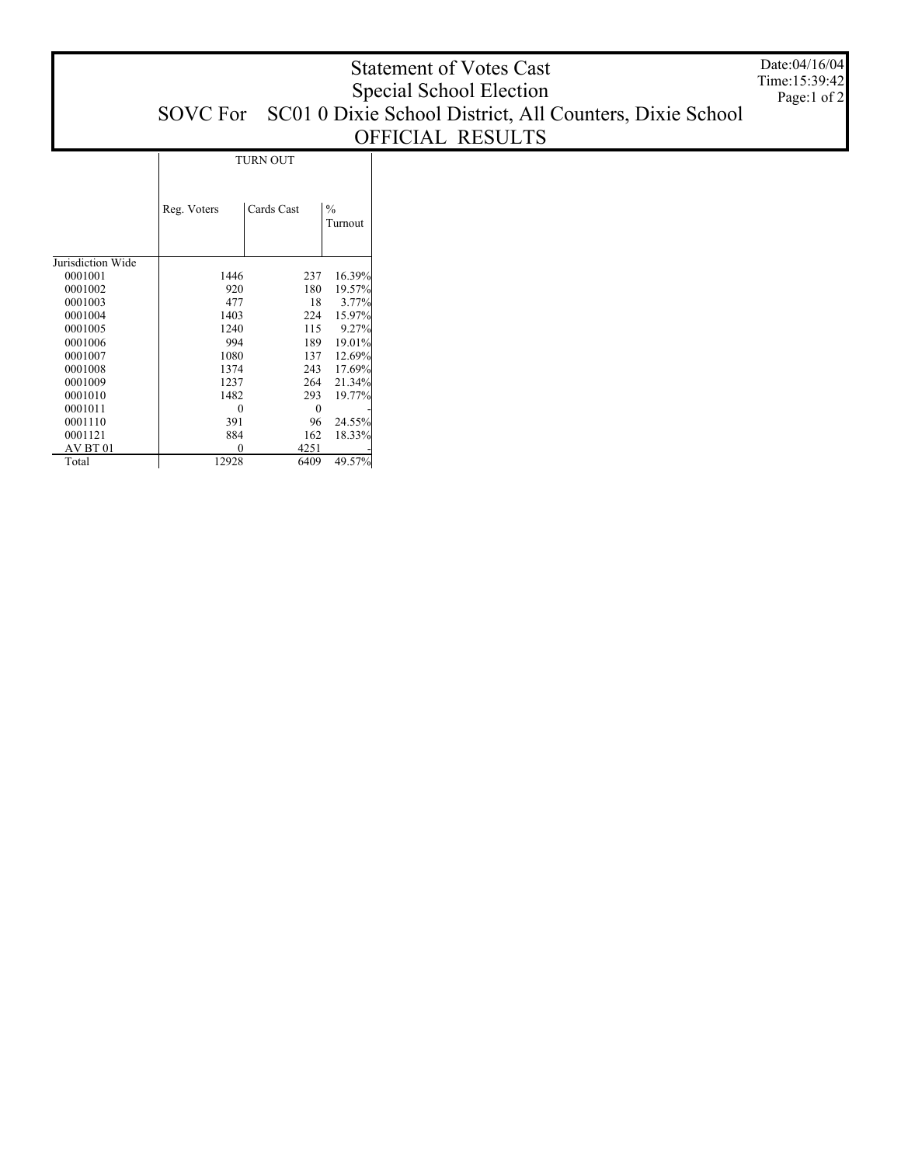|                              | SOVC For SC01 0 Dixie School District, All Counters, Dixie School | Date:04/16/04<br>Time:15:39:42<br>Page:1 of $2$ |                          |  |  |
|------------------------------|-------------------------------------------------------------------|-------------------------------------------------|--------------------------|--|--|
|                              |                                                                   | <b>TURN OUT</b>                                 |                          |  |  |
|                              | Reg. Voters                                                       | Cards Cast                                      | $\frac{0}{0}$<br>Turnout |  |  |
| Jurisdiction Wide<br>0001001 | 1446                                                              | 237                                             | 16.39%                   |  |  |
| 0001002                      | 920                                                               | 180                                             | 19.57%                   |  |  |
| 0001003                      | 477                                                               | 18                                              | 3.77%                    |  |  |
| 0001004                      | 1403                                                              | 224                                             | 15.97%                   |  |  |
| 0001005                      | 1240                                                              | 115                                             | 9.27%                    |  |  |
| 0001006                      | 994                                                               | 189                                             | 19.01%                   |  |  |

1080 137 12.69% 1374 243 17.69% 1237 264 21.34% 1482 293 19.77% 0 0 - 391 96 24.55%<br>884 162 18.33%  $\begin{array}{cc}\n 384 \quad 162 \quad 18.33\% \\
0 \quad 4251\n \end{array}$ 

6409 49.57%

 $\begin{array}{@{}c@{\hspace{1em}}c@{\hspace{1em}}c@{\hspace{1em}}c@{\hspace{1em}}c@{\hspace{1em}}c@{\hspace{1em}}c@{\hspace{1em}}c@{\hspace{1em}}c@{\hspace{1em}}c@{\hspace{1em}}c@{\hspace{1em}}c@{\hspace{1em}}c@{\hspace{1em}}c@{\hspace{1em}}c@{\hspace{1em}}c@{\hspace{1em}}c@{\hspace{1em}}c@{\hspace{1em}}c@{\hspace{1em}}c@{\hspace{1em}}c@{\hspace{1em}}c@{\hspace{1em}}c@{\hspace{1em}}c@{\hspace{$ 

 $\overline{\phantom{a}}$